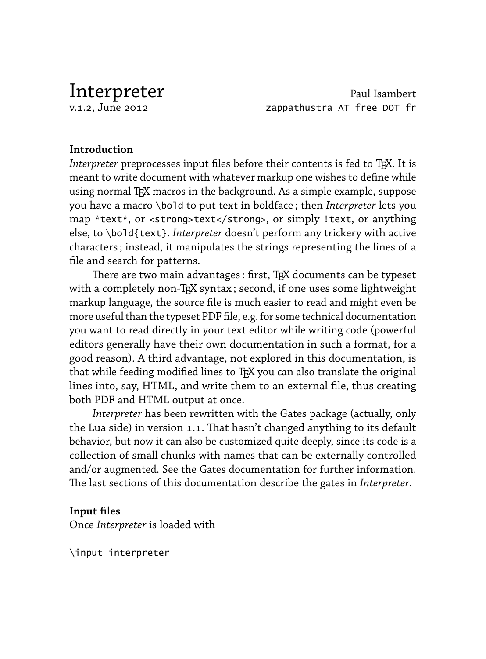Interpreter Paul Isambert<br>1.2. June 2012 - Paul Isambert Paul Isambert<br>2007 - Paul Isambert Paul Isambert Paul Isambert zappathustra AT free DOT fr

# **Introduction**

*Interpreter* preprocesses input files before their contents is fed to TEX. It is meant to write document with whatever markup one wishes to define while using normal TEX macros in the background. As a simple example, suppose you have a macro \bold to put text in boldface ; then *Interpreter* lets you map \*text\*, or <strong>text</strong>, or simply !text, or anything else, to \bold{text}. *Interpreter* doesn't perform any trickery with active characters ; instead, it manipulates the strings representing the lines of a file and search for patterns.

There are two main advantages : first, TEX documents can be typeset with a completely non-TEX syntax; second, if one uses some lightweight markup language, the source file is much easier to read and might even be more useful than the typeset PDF file, e.g. for some technical documentation you want to read directly in your text editor while writing code (powerful editors generally have their own documentation in such a format, for a good reason). A third advantage, not explored in this documentation, is that while feeding modified lines to TEX you can also translate the original lines into, say, HTML, and write them to an external file, thus creating both PDF and HTML output at once.

*Interpreter* has been rewritten with the Gates package (actually, only the Lua side) in version 1.1. That hasn't changed anything to its default behavior, but now it can also be customized quite deeply, since its code is a collection of small chunks with names that can be externally controlled and/or augmented. See the Gates documentation for further information. The last sections of this documentation describe the gates in *Interpreter*.

## **Input files**

Once *Interpreter* is loaded with

\input interpreter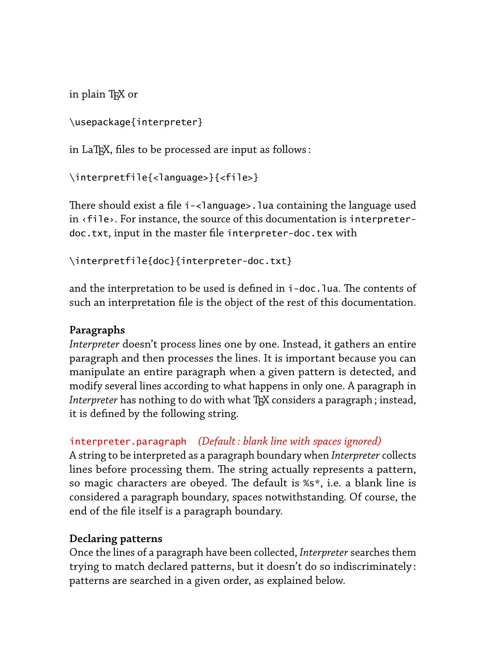in plain TEX or

```
\usepackage{interpreter}
```
in LaT<sub>F</sub>X, files to be processed are input as follows:

```
\interpretfile{<language>}{<file>}
```
There should exist a file i-<language>.lua containing the language used in ‹file›. For instance, the source of this documentation is interpreterdoc.txt, input in the master file interpreter-doc.tex with

```
\interpretfile{doc}{interpreter-doc.txt}
```
and the interpretation to be used is defined in i-doc. lua. The contents of such an interpretation file is the object of the rest of this documentation.

# **Paragraphs**

*Interpreter* doesn't process lines one by one. Instead, it gathers an entire paragraph and then processes the lines. It is important because you can manipulate an entire paragraph when a given pattern is detected, and modify several lines according to what happens in only one. A paragraph in *Interpreter* has nothing to do with what T<sub>E</sub>X considers a paragraph; instead, it is defined by the following string.

# interpreter.paragraph *(Default : blank line with spaces ignored)*

A string to be interpreted as a paragraph boundary when *Interpreter* collects lines before processing them. The string actually represents a pattern, so magic characters are obeyed. The default is %s\*, i.e. a blank line is considered a paragraph boundary, spaces notwithstanding. Of course, the end of the file itself is a paragraph boundary.

## **Declaring patterns**

Once the lines of a paragraph have been collected, *Interpreter* searches them trying to match declared patterns, but it doesn't do so indiscriminately : patterns are searched in a given order, as explained below.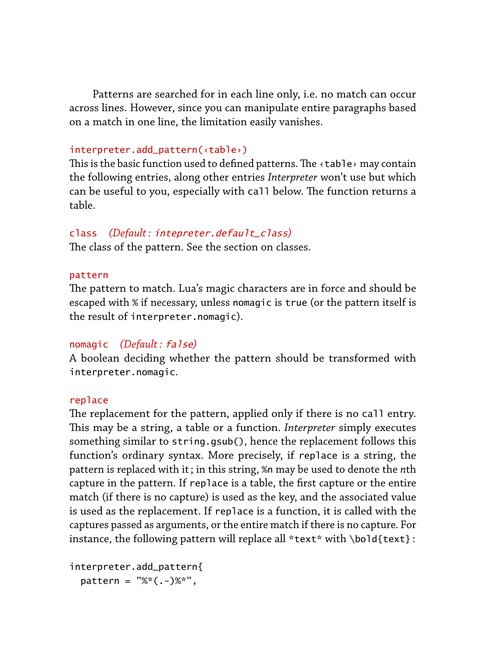Patterns are searched for in each line only, i.e. no match can occur across lines. However, since you can manipulate entire paragraphs based on a match in one line, the limitation easily vanishes.

#### interpreter.add\_pattern(‹table›)

This is the basic function used to defined patterns. The  $\triangle$ table> may contain the following entries, along other entries *Interpreter* won't use but which can be useful to you, especially with call below. The function returns a table.

## class *(Default :* intepreter.default\_class*)*

The class of the pattern. See the section on classes.

#### pattern

The pattern to match. Lua's magic characters are in force and should be escaped with % if necessary, unless nomagic is true (or the pattern itself is the result of interpreter.nomagic).

#### nomagic *(Default :* false*)*

A boolean deciding whether the pattern should be transformed with interpreter.nomagic.

#### replace

The replacement for the pattern, applied only if there is no call entry. This may be a string, a table or a function. *Interpreter* simply executes something similar to string.gsub(), hence the replacement follows this function's ordinary syntax. More precisely, if replace is a string, the pattern is replaced with it ; in this string, %n may be used to denote the *n*th capture in the pattern. If replace is a table, the first capture or the entire match (if there is no capture) is used as the key, and the associated value is used as the replacement. If replace is a function, it is called with the captures passed as arguments, or the entire match if there is no capture. For instance, the following pattern will replace all  $*$ text $*$  with \bold{text}:

```
interpreter.add_pattern{
 pattern = "%(-)%*",
```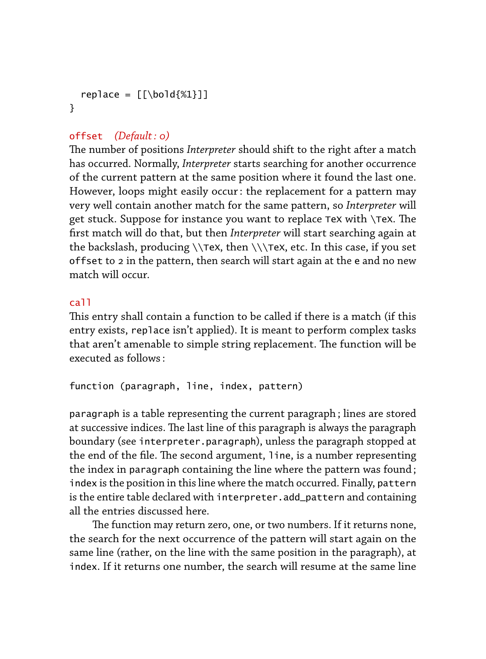```
replace = [\lfloor \text{bold{M1}} \rfloor]}
```
# offset *(Default : 0)*

The number of positions *Interpreter* should shift to the right after a match has occurred. Normally, *Interpreter* starts searching for another occurrence of the current pattern at the same position where it found the last one. However, loops might easily occur : the replacement for a pattern may very well contain another match for the same pattern, so *Interpreter* will get stuck. Suppose for instance you want to replace TeX with  $\$ TeX. The first match will do that, but then *Interpreter* will start searching again at the backslash, producing  $\Theta \ \theta \$ , then  $\(\tau)$  atc. In this case, if you set offset to 2 in the pattern, then search will start again at the e and no new match will occur.

#### call

This entry shall contain a function to be called if there is a match (if this entry exists, replace isn't applied). It is meant to perform complex tasks that aren't amenable to simple string replacement. The function will be executed as follows :

function (paragraph, line, index, pattern)

paragraph is a table representing the current paragraph ; lines are stored at successive indices. The last line of this paragraph is always the paragraph boundary (see interpreter.paragraph), unless the paragraph stopped at the end of the file. The second argument, line, is a number representing the index in paragraph containing the line where the pattern was found ; index is the position in this line where the match occurred. Finally, pattern is the entire table declared with interpreter.add\_pattern and containing all the entries discussed here.

The function may return zero, one, or two numbers. If it returns none, the search for the next occurrence of the pattern will start again on the same line (rather, on the line with the same position in the paragraph), at index. If it returns one number, the search will resume at the same line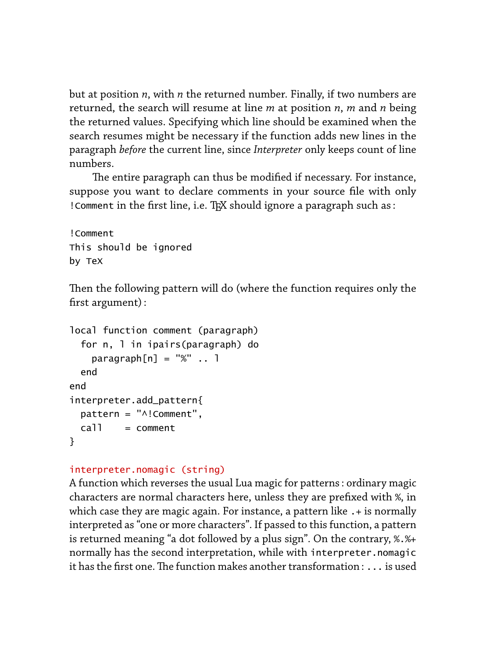but at position *n*, with *n* the returned number. Finally, if two numbers are returned, the search will resume at line *m* at position *n*, *m* and *n* being the returned values. Specifying which line should be examined when the search resumes might be necessary if the function adds new lines in the paragraph *before* the current line, since *Interpreter* only keeps count of line numbers.

The entire paragraph can thus be modified if necessary. For instance, suppose you want to declare comments in your source file with only ! Comment in the first line, i.e. TEX should ignore a paragraph such as :

!Comment This should be ignored by TeX

Then the following pattern will do (where the function requires only the first argument) :

```
local function comment (paragraph)
  for n, l in ipairs(paragraph) do
   paramph[n] = "%". 1
 end
end
interpreter.add_pattern{
 pattern = "^!Comment",
 call = comment}
```
# interpreter.nomagic (string)

A function which reverses the usual Lua magic for patterns : ordinary magic characters are normal characters here, unless they are prefixed with %, in which case they are magic again. For instance, a pattern like .+ is normally interpreted as "one or more characters". If passed to this function, a pattern is returned meaning "a dot followed by a plus sign". On the contrary, %.%+ normally has the second interpretation, while with interpreter.nomagic it has the first one. The function makes another transformation :  $\ldots$  is used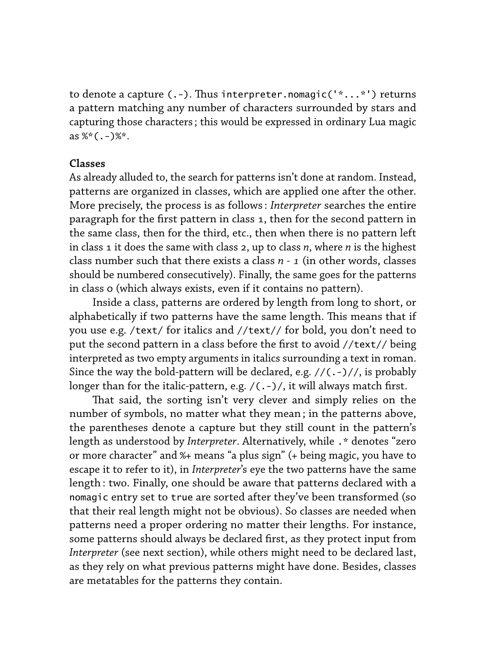to denote a capture  $(.-)$ . Thus interpreter.nomagic('\*...\*') returns a pattern matching any number of characters surrounded by stars and capturing those characters ; this would be expressed in ordinary Lua magic as  $%*(.-)$ %\*.

#### **Classes**

As already alluded to, the search for patterns isn't done at random. Instead, patterns are organized in classes, which are applied one after the other. More precisely, the process is as follows : *Interpreter* searches the entire paragraph for the first pattern in class 1, then for the second pattern in the same class, then for the third, etc., then when there is no pattern left in class 1 it does the same with class 2, up to class *n*, where *n* is the highest class number such that there exists a class *n - 1* (in other words, classes should be numbered consecutively). Finally, the same goes for the patterns in class 0 (which always exists, even if it contains no pattern).

Inside a class, patterns are ordered by length from long to short, or alphabetically if two patterns have the same length. This means that if you use e.g. /text/ for italics and //text// for bold, you don't need to put the second pattern in a class before the first to avoid //text// being interpreted as two empty arguments in italics surrounding a text in roman. Since the way the bold-pattern will be declared, e.g.  $//(.-)/(, is probably$ longer than for the italic-pattern, e.g.  $/$ (.-) $/$ , it will always match first.

That said, the sorting isn't very clever and simply relies on the number of symbols, no matter what they mean ; in the patterns above, the parentheses denote a capture but they still count in the pattern's length as understood by *Interpreter*. Alternatively, while .\* denotes "zero or more character" and %+ means "a plus sign" (+ being magic, you have to escape it to refer to it), in *Interpreter*'s eye the two patterns have the same length : two. Finally, one should be aware that patterns declared with a nomagic entry set to true are sorted after they've been transformed (so that their real length might not be obvious). So classes are needed when patterns need a proper ordering no matter their lengths. For instance, some patterns should always be declared first, as they protect input from *Interpreter* (see next section), while others might need to be declared last, as they rely on what previous patterns might have done. Besides, classes are metatables for the patterns they contain.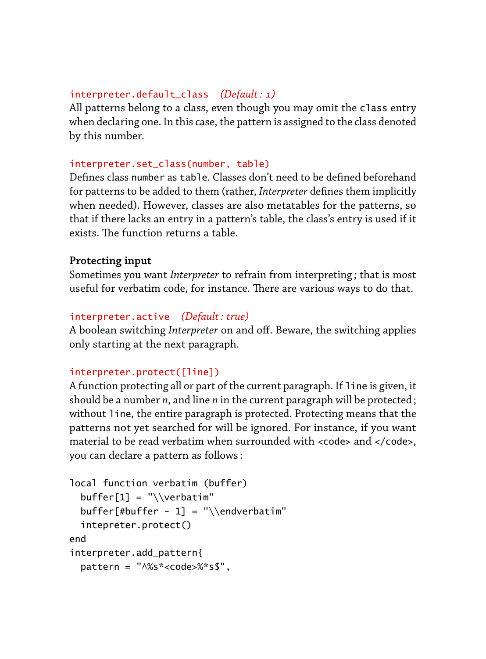#### interpreter.default\_class *(Default : 1)*

All patterns belong to a class, even though you may omit the class entry when declaring one. In this case, the pattern is assigned to the class denoted by this number.

#### interpreter.set\_class(number, table)

Defines class number as table. Classes don't need to be defined beforehand for patterns to be added to them (rather, *Interpreter* defines them implicitly when needed). However, classes are also metatables for the patterns, so that if there lacks an entry in a pattern's table, the class's entry is used if it exists. The function returns a table

## **Protecting input**

Sometimes you want *Interpreter* to refrain from interpreting ; that is most useful for verbatim code, for instance. There are various ways to do that.

# interpreter.active *(Default : true)*

A boolean switching *Interpreter* on and off. Beware, the switching applies only starting at the next paragraph.

## interpreter.protect([line])

A function protecting all or part of the current paragraph. If line is given, it should be a number *n*, and line *n* in the current paragraph will be protected ; without line, the entire paragraph is protected. Protecting means that the patterns not yet searched for will be ignored. For instance, if you want material to be read verbatim when surrounded with  $\alpha$  code> and  $\alpha$  / code>, you can declare a pattern as follows :

```
local function verbatim (buffer)
 buffer[1] = "\\verbatin"buffer[#buffer - 1] = "\\endverbatim"
 intepreter.protect()
end
interpreter.add_pattern{
  pattern = "^%s*<code>%*s$",
```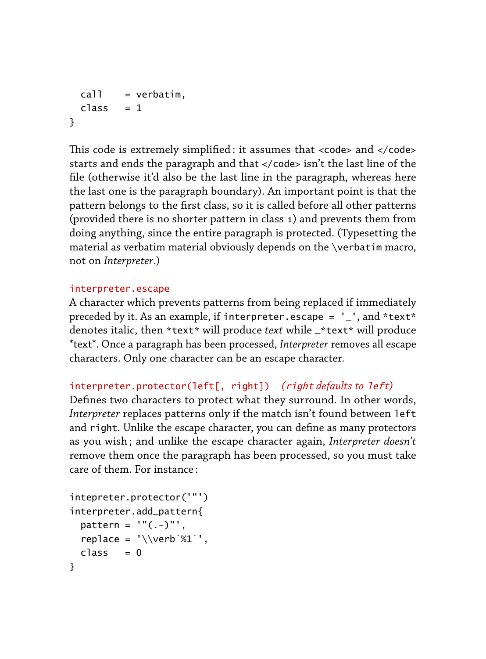```
call = verbatim,class = 1}
```
This code is extremely simplified: it assumes that  $<$  code> and  $<$ /code> starts and ends the paragraph and that </code> isn't the last line of the file (otherwise it'd also be the last line in the paragraph, whereas here the last one is the paragraph boundary). An important point is that the pattern belongs to the first class, so it is called before all other patterns (provided there is no shorter pattern in class 1) and prevents them from doing anything, since the entire paragraph is protected. (Typesetting the material as verbatim material obviously depends on the \verbatim macro, not on *Interpreter*.)

## interpreter.escape

A character which prevents patterns from being replaced if immediately preceded by it. As an example, if interpreter.escape =  $'$  -', and \*text\* denotes italic, then \*text\* will produce *text* while \_\*text\* will produce \*text\*. Once a paragraph has been processed, *Interpreter* removes all escape characters. Only one character can be an escape character.

# interpreter.protector(left[, right]) *(*right *defaults to* left*)*

Defines two characters to protect what they surround. In other words, *Interpreter* replaces patterns only if the match isn't found between left and right. Unlike the escape character, you can define as many protectors as you wish ; and unlike the escape character again, *Interpreter doesn't* remove them once the paragraph has been processed, so you must take care of them. For instance :

```
intepreter.protector('"')
interpreter.add_pattern{
 pattern = ''(.-)"',
  replace = '\\verb`%1`',class = 0}
```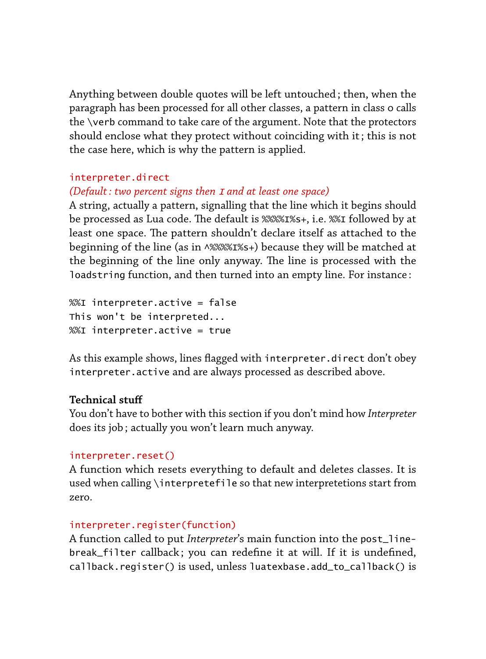Anything between double quotes will be left untouched ; then, when the paragraph has been processed for all other classes, a pattern in class 0 calls the \verb command to take care of the argument. Note that the protectors should enclose what they protect without coinciding with it ; this is not the case here, which is why the pattern is applied.

# interpreter.direct

## *(Default : two percent signs then* <sup>I</sup> *and at least one space)*

A string, actually a pattern, signalling that the line which it begins should be processed as Lua code. The default is %%%1%s+, i.e. %%I followed by at least one space. The pattern shouldn't declare itself as attached to the beginning of the line (as in ^%%%%I%s+) because they will be matched at the beginning of the line only anyway. The line is processed with the loadstring function, and then turned into an empty line. For instance :

%%I interpreter.active = false This won't be interpreted... %%I interpreter.active = true

As this example shows, lines flagged with interpreter.direct don't obey interpreter.active and are always processed as described above.

## **Technical stuff**

You don't have to bother with this section if you don't mind how *Interpreter* does its job ; actually you won't learn much anyway.

## interpreter.reset()

A function which resets everything to default and deletes classes. It is used when calling \interpretefile so that new interpretetions start from zero.

#### interpreter.register(function)

A function called to put *Interpreter*'s main function into the post\_linebreak\_filter callback ; you can redefine it at will. If it is undefined, callback.register() is used, unless luatexbase.add\_to\_callback() is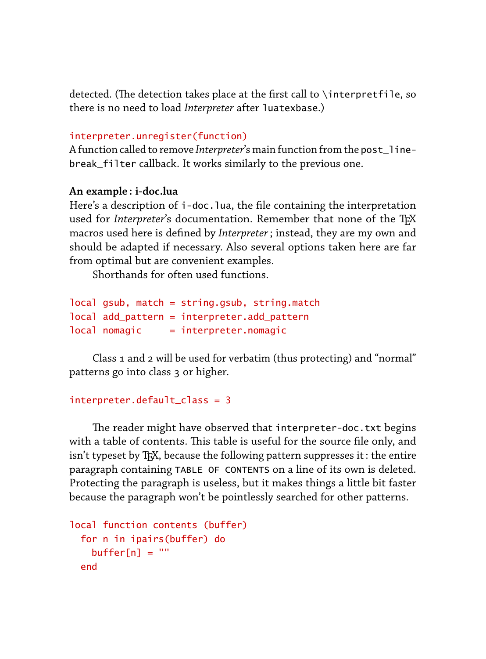detected. (The detection takes place at the first call to \interpretfile, so there is no need to load *Interpreter* after luatexbase.)

#### interpreter.unregister(function)

A function called to remove *Interpreter*'s main function from the post\_linebreak\_filter callback. It works similarly to the previous one.

#### **An example : i-doc.lua**

Here's a description of i-doc. lua, the file containing the interpretation used for *Interpreter's* documentation. Remember that none of the TFX macros used here is defined by *Interpreter*; instead, they are my own and should be adapted if necessary. Also several options taken here are far from optimal but are convenient examples.

Shorthands for often used functions.

```
local gsub, match = string.gsub, string.match
local add_pattern = interpreter.add_pattern
local monagic = interpreter.nomagic
```
Class 1 and 2 will be used for verbatim (thus protecting) and "normal" patterns go into class 3 or higher.

```
interpreter.default_class = 3
```
The reader might have observed that interpreter-doc.txt begins with a table of contents. This table is useful for the source file only, and isn't typeset by TEX, because the following pattern suppresses it : the entire paragraph containing TABLE OF CONTENTS on a line of its own is deleted. Protecting the paragraph is useless, but it makes things a little bit faster because the paragraph won't be pointlessly searched for other patterns.

```
local function contents (buffer)
  for n in ipairs(buffer) do
   buffer[n] = ""end
```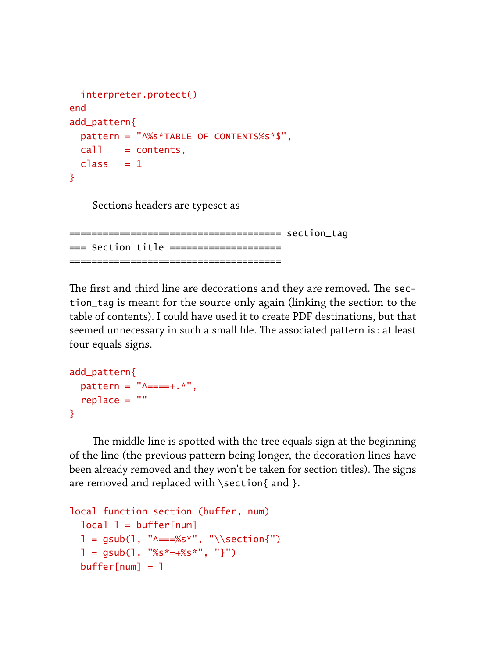```
interpreter.protect()
end
add_pattern{
 pattern = "^%s*TABLE OF CONTENTS%s*$",
 call = contents,class = 1}
```
Sections headers are typeset as

====================================== section\_tag === Section title ==================== ======================================

The first and third line are decorations and they are removed. The section\_tag is meant for the source only again (linking the section to the table of contents). I could have used it to create PDF destinations, but that seemed unnecessary in such a small file. The associated pattern is: at least four equals signs.

```
add_pattern{
  pattern = "^{\sim} == + .*",
  replace = ""}
```
The middle line is spotted with the tree equals sign at the beginning of the line (the previous pattern being longer, the decoration lines have been already removed and they won't be taken for section titles). The signs are removed and replaced with \section{ and }.

```
local function section (buffer, num)
  local <math>l = buffer[num]</math>l = gsub(1, "^* = 265, "^*, "\\section{'")}
  l = g \text{sub}(l, "%s*-+%s*", "}'')buffer[num] = 1
```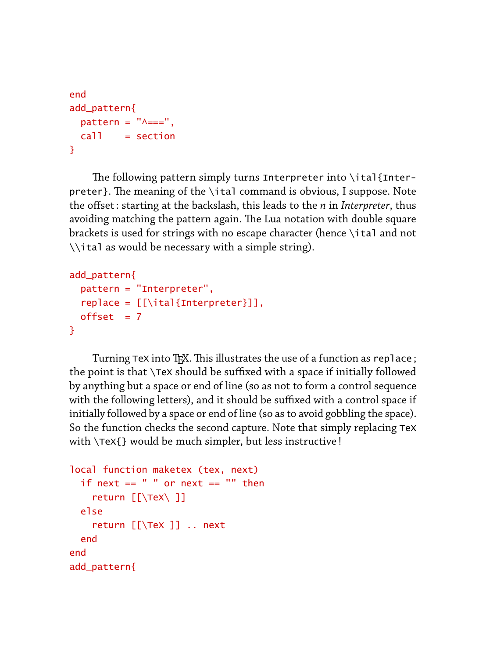```
end
add_pattern{
  pattern = "^{\prime} = =",
  call = section}
```
The following pattern simply turns Interpreter into  $\iota$  and {Interpreter}. The meaning of the \ital command is obvious, I suppose. Note the offset : starting at the backslash, this leads to the *n* in *Interpreter*, thus avoiding matching the pattern again. The Lua notation with double square brackets is used for strings with no escape character (hence \ital and not \\ital as would be necessary with a simple string).

```
add_pattern{
  pattern = "Interpreter",
  replace = [\lceil \frac{interpreter}}],
  offset = 7}
```
Turning TeX into TEX. This illustrates the use of a function as replace; the point is that \TeX should be suffixed with a space if initially followed by anything but a space or end of line (so as not to form a control sequence with the following letters), and it should be suffixed with a control space if initially followed by a space or end of line (so as to avoid gobbling the space). So the function checks the second capture. Note that simply replacing TeX with \TeX{} would be much simpler, but less instructive !

```
local function maketex (tex, next)
 if next == " " or next == " " then
    return [[\TeX\ ]]
 else
    return [[\TeX ]] .. next
 end
end
add_pattern{
```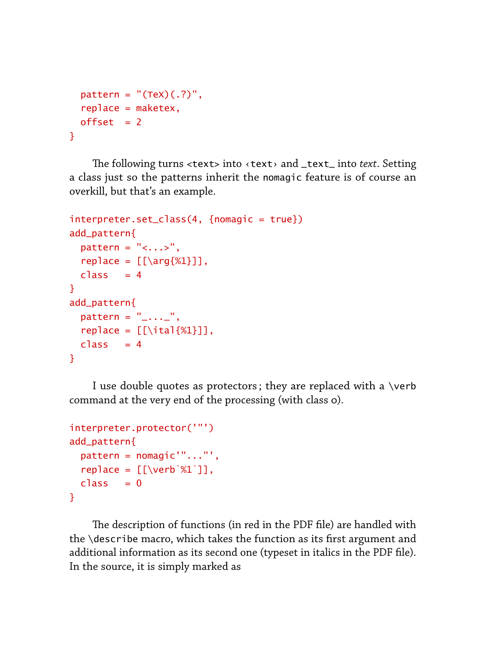```
pattern = "(Tex)(.?)",
  replace = maketex,offset = 2}
```
e following turns <text> into ‹text› and \_text\_ into *text*. Setting a class just so the patterns inherit the nomagic feature is of course an overkill, but that's an example.

```
interpreter.set_class(4, {nomagic = true})
add_pattern{
  pattern = "<...>".replace = \lceil \frac{81}{1} \rceil,
  class = 4}
add_pattern{
 pattern = "...",
  replace = [\lceil \frac{81}{3} \rceil],class = 4}
```
I use double quotes as protectors ; they are replaced with a \verb command at the very end of the processing (with class 0).

```
interpreter.protector('"')
add_pattern{
  pattern = nomagic'"..."',
  replace = \lceil \cdot \cdot \cdot \cdot \cdot \cdot \rceil \rceil,
  class = 0}
```
The description of functions (in red in the PDF file) are handled with the \describe macro, which takes the function as its first argument and additional information as its second one (typeset in italics in the PDF file). In the source, it is simply marked as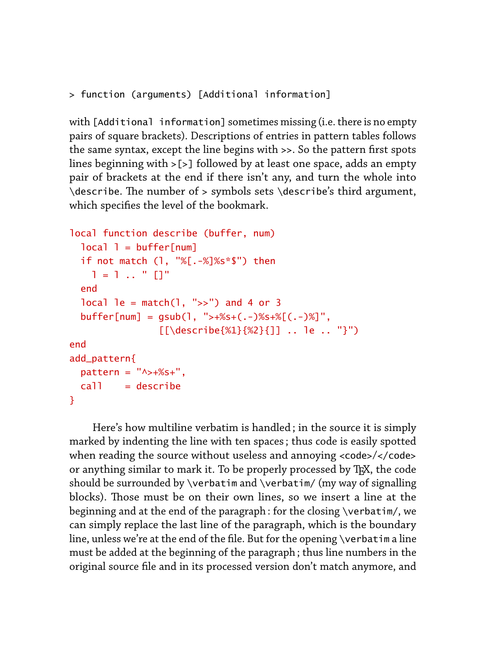```
> function (arguments) [Additional information]
```
with [Additional information] sometimes missing (i.e. there is no empty pairs of square brackets). Descriptions of entries in pattern tables follows the same syntax, except the line begins with >>. So the pattern first spots lines beginning with >[>] followed by at least one space, adds an empty pair of brackets at the end if there isn't any, and turn the whole into  $\ldots$  ) describe. The number of  $>$  symbols sets  $\describe's$  third argument, which specifies the level of the bookmark.

```
local function describe (buffer, num)
  local <math>l = buffer[num]</math>if not match (l, "%[.-%]%s*$") then
    l = 1... " []"
  end
  local le = match(1, ">>") and 4 or 3
  buffer[num] = qsub(1, ">>+%5+(.-)%5+%[(-.>)%]",
                 [[\describe{%1}{%2}{]] .. le .. "}")
end
add_pattern{
  pattern = "^* +%s+",
 call = describe}
```
Here's how multiline verbatim is handled ; in the source it is simply marked by indenting the line with ten spaces ; thus code is easily spotted when reading the source without useless and annoying <code>/</code> or anything similar to mark it. To be properly processed by TFX, the code should be surrounded by \verbatim and \verbatim/ (my way of signalling blocks). Those must be on their own lines, so we insert a line at the beginning and at the end of the paragraph : for the closing \verbatim/, we can simply replace the last line of the paragraph, which is the boundary line, unless we're at the end of the file. But for the opening \verbatim a line must be added at the beginning of the paragraph ; thus line numbers in the original source file and in its processed version don't match anymore, and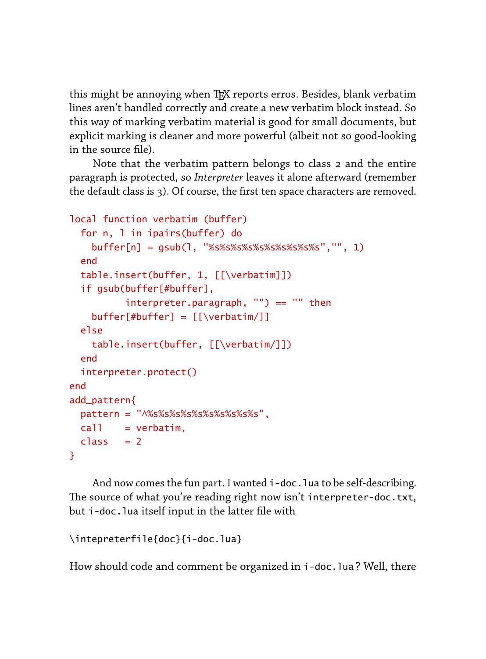this might be annoying when TFX reports erros. Besides, blank verbatim lines aren't handled correctly and create a new verbatim block instead. So this way of marking verbatim material is good for small documents, but explicit marking is cleaner and more powerful (albeit not so good-looking in the source file).

Note that the verbatim pattern belongs to class 2 and the entire paragraph is protected, so *Interpreter* leaves it alone afterward (remember the default class is 3). Of course, the first ten space characters are removed.

```
local function verbatim (buffer)
  for n, l in ipairs(buffer) do
   buffer[n] = gsub(l, "%s%s%s%s%s%s%s%s%s%s","", 1)
  end
 table.insert(buffer, 1, [[\verbatim]])
 if gsub(buffer[#buffer],
         interpreter.paragraph, "") == "" thenbuffer[#buffer] = [[\verbatim/]]
 else
   table.insert(buffer, [[\verbatim/]])
  end
 interpreter.protect()
end
add_pattern{
 pattern = "^%s%s%s%s%s%s%s%s%s%s",
 call = verbatim,class = 2}
```
And now comes the fun part. I wanted i-doc. Jua to be self-describing. The source of what you're reading right now isn't interpreter-doc.txt, but i-doc.lua itself input in the latter file with

```
\intepreterfile{doc}{i-doc.lua}
```
How should code and comment be organized in i-doc.lua ? Well, there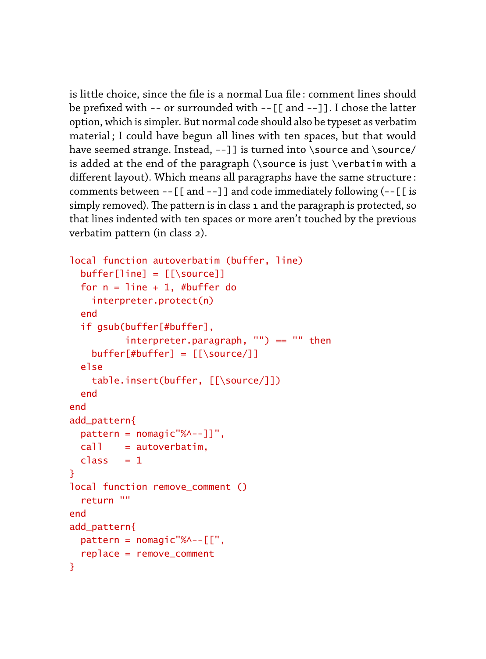is little choice, since the file is a normal Lua file : comment lines should be prefixed with -- or surrounded with --[[ and --]]. I chose the latter option, which is simpler. But normal code should also be typeset as verbatim material ; I could have begun all lines with ten spaces, but that would have seemed strange. Instead, --]] is turned into \source and \source/ is added at the end of the paragraph (\source is just \verbatim with a different layout). Which means all paragraphs have the same structure : comments between --[[ and --]] and code immediately following (--[[ is simply removed). The pattern is in class 1 and the paragraph is protected, so that lines indented with ten spaces or more aren't touched by the previous verbatim pattern (in class 2).

```
local function autoverbatim (buffer, line)
 buffer[line] = [[\s{source}]]for n = line + 1, #buffer do
   interpreter.protect(n)
 end
 if gsub(buffer[#buffer],
          interpreter.paracgraph, "") == "" thenbuffer[#buffer] = [[\source/]]else
    table.insert(buffer, [[\source/]])
 end
end
add_pattern{
 pattern = nomagic"%^--]]",
 call = autoverbatin,class = 1}
local function remove_comment ()
 return ""
end
add_pattern{
 pattern = nomagic'''%^ - - [['',replace = remove_comment
}
```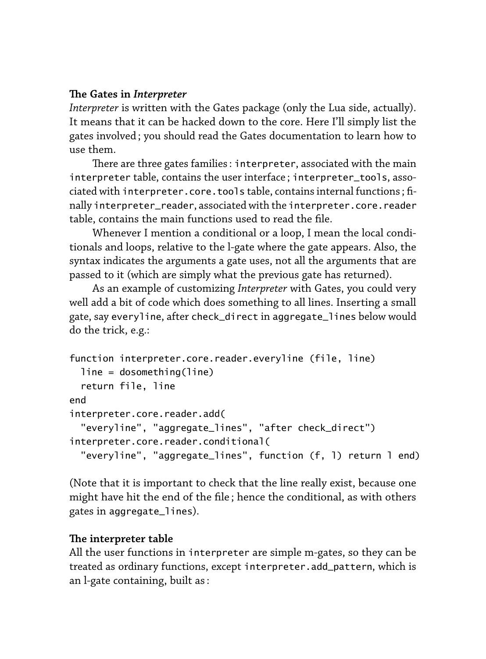# **e Gates in Interpreter**

*Interpreter* is written with the Gates package (only the Lua side, actually). It means that it can be hacked down to the core. Here I'll simply list the gates involved ; you should read the Gates documentation to learn how to use them.

There are three gates families : interpreter, associated with the main interpreter table, contains the user interface ; interpreter\_tools, associated with interpreter.core.tools table, contains internal functions ; finally interpreter\_reader, associated with the interpreter.core.reader table, contains the main functions used to read the file.

Whenever I mention a conditional or a loop, I mean the local conditionals and loops, relative to the l-gate where the gate appears. Also, the syntax indicates the arguments a gate uses, not all the arguments that are passed to it (which are simply what the previous gate has returned).

As an example of customizing *Interpreter* with Gates, you could very well add a bit of code which does something to all lines. Inserting a small gate, say everyline, after check\_direct in aggregate\_lines below would do the trick, e.g.:

```
function interpreter.core.reader.everyline (file, line)
 line = dosomething(line)
  return file, line
end
interpreter.core.reader.add(
  "everyline", "aggregate_lines", "after check_direct")
interpreter.core.reader.conditional(
  "everyline", "aggregate_lines", function (f, l) return l end)
```
(Note that it is important to check that the line really exist, because one might have hit the end of the file ; hence the conditional, as with others gates in aggregate\_lines).

# **e interpreter table**

All the user functions in interpreter are simple m-gates, so they can be treated as ordinary functions, except interpreter.add\_pattern, which is an l-gate containing, built as :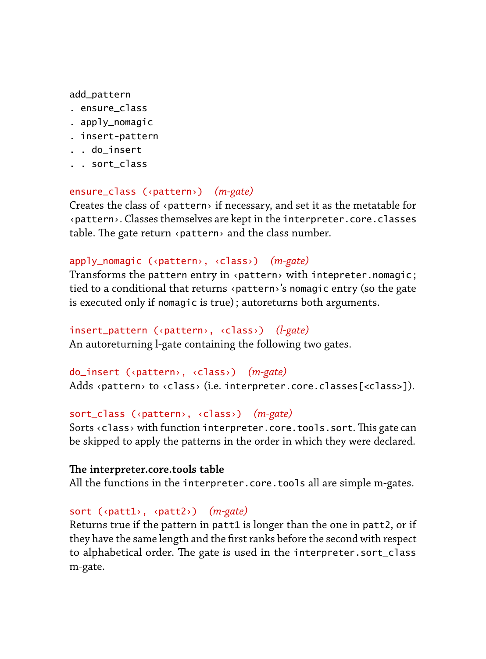#### add\_pattern

- . ensure\_class
- . apply\_nomagic
- . insert-pattern
- . . do\_insert
- . . sort\_class

## ensure\_class (‹pattern›) *(m-gate)*

Creates the class of ‹pattern› if necessary, and set it as the metatable for ‹pattern›. Classes themselves are kept in the interpreter.core.classes table. The gate return  $\triangle$  pattern  $\triangle$  and the class number.

## apply\_nomagic (‹pattern›, ‹class›) *(m-gate)*

Transforms the pattern entry in ‹pattern› with intepreter.nomagic ; tied to a conditional that returns ‹pattern›'s nomagic entry (so the gate is executed only if nomagic is true) ; autoreturns both arguments.

```
insert_pattern (‹pattern›, ‹class›) (l-gate)
An autoreturning l-gate containing the following two gates.
```

```
do_insert (‹pattern›, ‹class›) (m-gate)
Adds ‹pattern› to ‹class› (i.e. interpreter.core.classes[<class>]).
```
# sort\_class (‹pattern›, ‹class›) *(m-gate)*

Sorts  $\langle$  class> with function interpreter.core.tools.sort. This gate can be skipped to apply the patterns in the order in which they were declared.

#### **e interpreter.core.tools table**

All the functions in the interpreter.core.tools all are simple m-gates.

#### sort (‹patt1›, ‹patt2›) *(m-gate)*

Returns true if the pattern in patt1 is longer than the one in patt2, or if they have the same length and the first ranks before the second with respect to alphabetical order. The gate is used in the interpreter.sort\_class m-gate.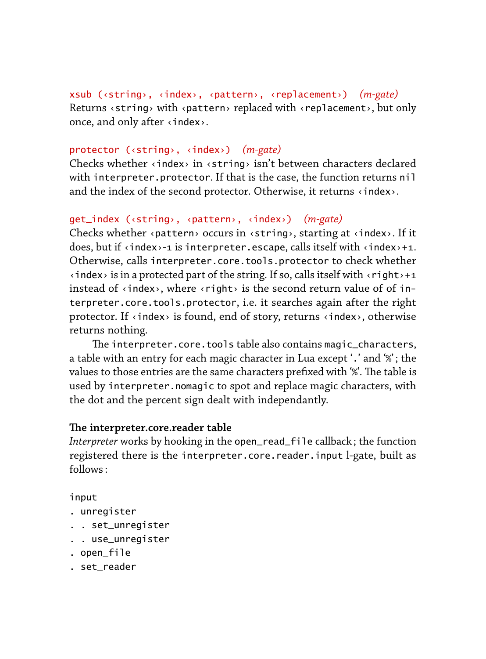xsub (‹string›, ‹index›, ‹pattern›, ‹replacement›) *(m-gate)* Returns ‹string› with ‹pattern› replaced with ‹replacement›, but only once, and only after ‹index›.

#### protector (‹string›, ‹index›) *(m-gate)*

Checks whether ‹index› in ‹string› isn't between characters declared with interpreter.protector. If that is the case, the function returns nil and the index of the second protector. Otherwise, it returns <index>.

#### get\_index (‹string›, ‹pattern›, ‹index›) *(m-gate)*

Checks whether ‹pattern› occurs in ‹string›, starting at ‹index›. If it does, but if ‹index›-1 is interpreter.escape, calls itself with ‹index›+1. Otherwise, calls interpreter.core.tools.protector to check whether  $\langle$  index> is in a protected part of the string. If so, calls itself with  $\langle$  right>+1 instead of  $\langle$  index>, where  $\langle$  right> is the second return value of of interpreter.core.tools.protector, i.e. it searches again after the right protector. If ‹index› is found, end of story, returns ‹index›, otherwise returns nothing.

The interpreter.core.tools table also contains magic\_characters, a table with an entry for each magic character in Lua except `.' and `%' ; the values to those entries are the same characters prefixed with '%'. The table is used by interpreter.nomagic to spot and replace magic characters, with the dot and the percent sign dealt with independantly.

#### **e interpreter.core.reader table**

*Interpreter* works by hooking in the open\_read\_file callback ; the function registered there is the interpreter.core.reader.input l-gate, built as  $follows.$ 

#### input

- . unregister
- . . set\_unregister
- . . use\_unregister
- . open\_file
- . set\_reader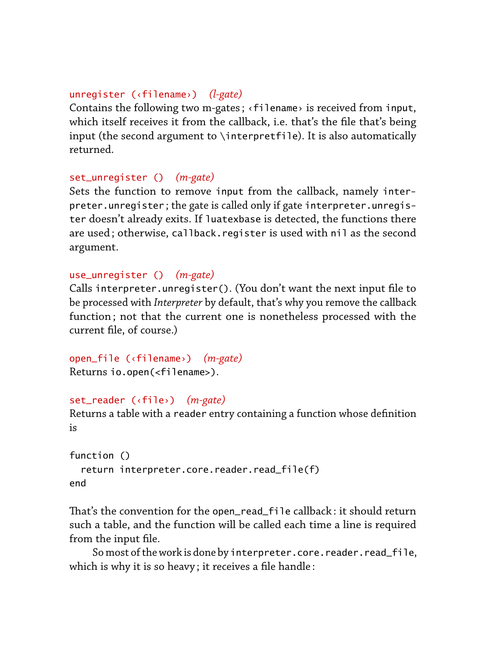#### unregister (‹filename›) *(l-gate)*

Contains the following two m-gates ; ‹filename› is received from input, which itself receives it from the callback, i.e. that's the file that's being input (the second argument to \interpretfile). It is also automatically returned.

## set\_unregister () *(m-gate)*

Sets the function to remove input from the callback, namely interpreter.unregister ; the gate is called only if gate interpreter.unregister doesn't already exits. If luatexbase is detected, the functions there are used ; otherwise, callback.register is used with nil as the second argument.

# use\_unregister () *(m-gate)*

Calls interpreter.unregister(). (You don't want the next input file to be processed with *Interpreter* by default, that's why you remove the callback function ; not that the current one is nonetheless processed with the current file, of course.)

```
open_file (‹filename›) (m-gate)
Returns io.open(<filename>).
```

```
set_reader (‹file›) (m-gate)
```
Returns a table with a reader entry containing a function whose definition is

```
function ()
  return interpreter.core.reader.read_file(f)
end
```
That's the convention for the open read file callback : it should return such a table, and the function will be called each time a line is required from the input file.

So most of the work is done by interpreter.core.reader.read\_file, which is why it is so heavy ; it receives a file handle :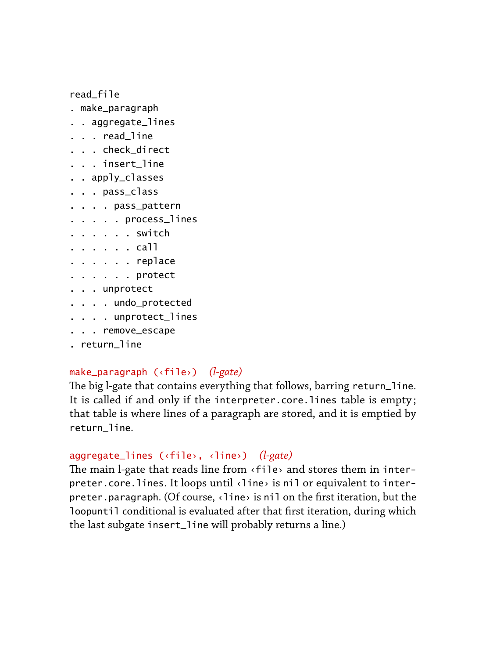read\_file

- . make\_paragraph
- . . aggregate\_lines
- . . . read\_line
- . . . check\_direct
- . . . insert\_line
- . . apply\_classes
- . . . pass\_class
- . . . . pass\_pattern
- . . . . . process\_lines
- . . . . . . switch
- . . . . . . call
- . . . . . . replace
- . . . . . . protect
- . . . unprotect
- . . . . undo\_protected
- . . . . unprotect\_lines
- . . . remove\_escape
- . return\_line

#### make\_paragraph (‹file›) *(l-gate)*

The big l-gate that contains everything that follows, barring return\_line. It is called if and only if the interpreter.core.lines table is empty; that table is where lines of a paragraph are stored, and it is emptied by return\_line.

# aggregate\_lines (‹file›, ‹line›) *(l-gate)*

The main l-gate that reads line from  $\langle$  file> and stores them in interpreter.core.lines. It loops until ‹line› is nil or equivalent to interpreter.paragraph. (Of course, ‹line› is nil on the first iteration, but the loopuntil conditional is evaluated after that first iteration, during which the last subgate insert\_line will probably returns a line.)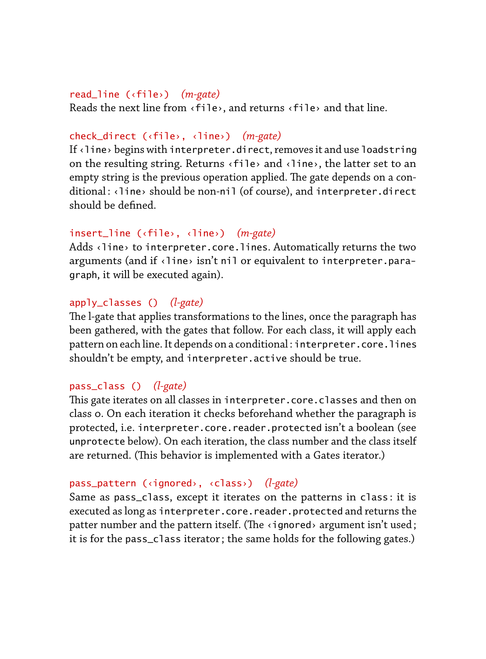#### read\_line (‹file›) *(m-gate)*

Reads the next line from ‹file›, and returns ‹file› and that line.

# check\_direct (‹file›, ‹line›) *(m-gate)*

If ‹line› begins with interpreter.direct, removes it and use loadstring on the resulting string. Returns ‹file› and ‹line›, the latter set to an empty string is the previous operation applied. The gate depends on a conditional: <line> should be non-nil (of course), and interpreter.direct should be defined.

#### insert\_line (‹file›, ‹line›) *(m-gate)*

Adds <line> to interpreter.core.lines. Automatically returns the two arguments (and if ‹line› isn't nil or equivalent to interpreter.paragraph, it will be executed again).

#### apply\_classes () *(l-gate)*

The l-gate that applies transformations to the lines, once the paragraph has been gathered, with the gates that follow. For each class, it will apply each pattern on each line. It depends on a conditional : interpreter.core.lines shouldn't be empty, and interpreter.active should be true.

#### pass\_class () *(l-gate)*

This gate iterates on all classes in interpreter.core.classes and then on class 0. On each iteration it checks beforehand whether the paragraph is protected, i.e. interpreter.core.reader.protected isn't a boolean (see unprotecte below). On each iteration, the class number and the class itself are returned. (This behavior is implemented with a Gates iterator.)

# pass\_pattern (‹ignored›, ‹class›) *(l-gate)*

Same as pass\_class, except it iterates on the patterns in class : it is executed as long as interpreter.core.reader.protected and returns the patter number and the pattern itself. (The  $\triangle$ ignored> argument isn't used; it is for the pass\_class iterator ; the same holds for the following gates.)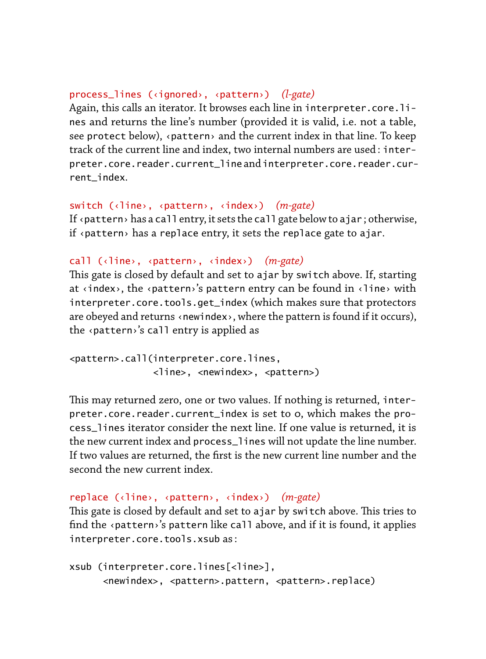#### process\_lines (‹ignored›, ‹pattern›) *(l-gate)*

Again, this calls an iterator. It browses each line in interpreter.core.lines and returns the line's number (provided it is valid, i.e. not a table, see protect below), ‹pattern› and the current index in that line. To keep track of the current line and index, two internal numbers are used : interpreter.core.reader.current\_line and interpreter.core.reader.current\_index.

## switch (‹line›, ‹pattern›, ‹index›) *(m-gate)*

If ‹pattern› has a call entry, it sets the call gate below to ajar ; otherwise, if ‹pattern› has a replace entry, it sets the replace gate to ajar.

#### call (‹line›, ‹pattern›, ‹index›) *(m-gate)*

This gate is closed by default and set to ajar by switch above. If, starting at  $\langle$  index>, the  $\langle$  pattern>'s pattern entry can be found in  $\langle$  line> with interpreter.core.tools.get\_index (which makes sure that protectors are obeyed and returns ‹newindex›, where the pattern is found if it occurs), the ‹pattern›'s call entry is applied as

```
<pattern>.call(interpreter.core.lines,
               <line>, <newindex>, <pattern>)
```
This may returned zero, one or two values. If nothing is returned, interpreter.core.reader.current\_index is set to 0, which makes the process\_lines iterator consider the next line. If one value is returned, it is the new current index and process\_lines will not update the line number. If two values are returned, the first is the new current line number and the second the new current index.

```
replace (‹line›, ‹pattern›, ‹index›) (m-gate)
```
This gate is closed by default and set to ajar by switch above. This tries to find the ‹pattern›'s pattern like call above, and if it is found, it applies interpreter.core.tools.xsub as :

```
xsub (interpreter.core.lines[<line>],
     <newindex>, <pattern>.pattern, <pattern>.replace)
```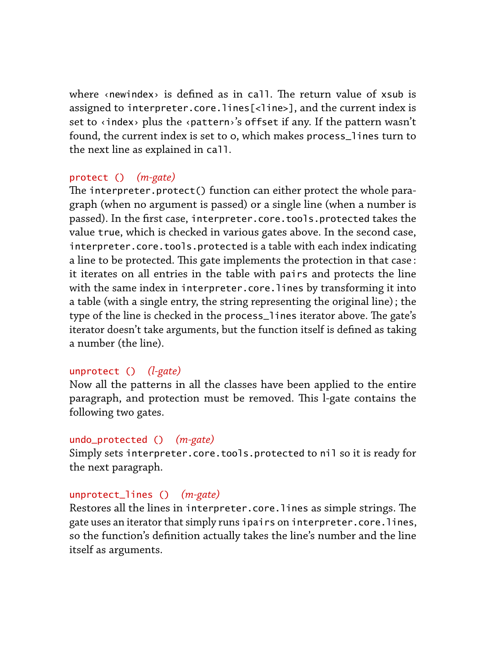where «newindex» is defined as in call. The return value of xsub is assigned to interpreter.core.lines[<line>], and the current index is set to  $\langle$  index> plus the  $\langle$  pattern>'s offset if any. If the pattern wasn't found, the current index is set to 0, which makes process\_lines turn to the next line as explained in call.

## protect () *(m-gate)*

The interpreter.protect() function can either protect the whole paragraph (when no argument is passed) or a single line (when a number is passed). In the first case, interpreter.core.tools.protected takes the value true, which is checked in various gates above. In the second case, interpreter.core.tools.protected is a table with each index indicating a line to be protected. This gate implements the protection in that case: it iterates on all entries in the table with pairs and protects the line with the same index in interpreter.core.lines by transforming it into a table (with a single entry, the string representing the original line) ; the type of the line is checked in the process\_lines iterator above. The gate's iterator doesn't take arguments, but the function itself is defined as taking a number (the line).

## unprotect () *(l-gate)*

Now all the patterns in all the classes have been applied to the entire paragraph, and protection must be removed. This l-gate contains the following two gates.

#### undo\_protected () *(m-gate)*

Simply sets interpreter.core.tools.protected to nil so it is ready for the next paragraph.

## unprotect\_lines () *(m-gate)*

Restores all the lines in interpreter.core.lines as simple strings. The gate uses an iterator that simply runs ipairs on interpreter.core.lines, so the function's definition actually takes the line's number and the line itself as arguments.